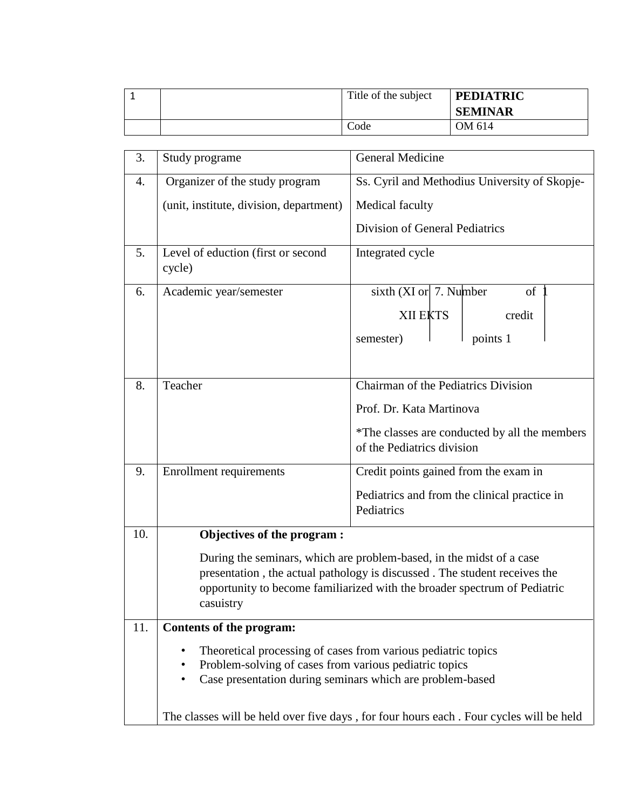|  | Title of the subject | <b>PEDIATRIC</b><br><b>SEMINAR</b> |
|--|----------------------|------------------------------------|
|  | Code                 | OM 614                             |

| 3.  | Study programe                                                                                                           | <b>General Medicine</b>                                                     |  |  |  |  |  |  |
|-----|--------------------------------------------------------------------------------------------------------------------------|-----------------------------------------------------------------------------|--|--|--|--|--|--|
| 4.  | Organizer of the study program                                                                                           | Ss. Cyril and Methodius University of Skopje-                               |  |  |  |  |  |  |
|     | (unit, institute, division, department)                                                                                  | Medical faculty                                                             |  |  |  |  |  |  |
|     |                                                                                                                          | Division of General Pediatrics                                              |  |  |  |  |  |  |
| 5.  | Level of eduction (first or second<br>cycle)                                                                             | Integrated cycle                                                            |  |  |  |  |  |  |
| 6.  | Academic year/semester                                                                                                   | sixth $(XI or 7.$ Number<br>of                                              |  |  |  |  |  |  |
|     |                                                                                                                          | <b>XII EKTS</b><br>credit                                                   |  |  |  |  |  |  |
|     |                                                                                                                          | points 1<br>semester)                                                       |  |  |  |  |  |  |
|     |                                                                                                                          |                                                                             |  |  |  |  |  |  |
| 8.  | Teacher                                                                                                                  | Chairman of the Pediatrics Division                                         |  |  |  |  |  |  |
|     |                                                                                                                          | Prof. Dr. Kata Martinova                                                    |  |  |  |  |  |  |
|     |                                                                                                                          | *The classes are conducted by all the members<br>of the Pediatrics division |  |  |  |  |  |  |
| 9.  | <b>Enrollment requirements</b>                                                                                           | Credit points gained from the exam in                                       |  |  |  |  |  |  |
|     |                                                                                                                          | Pediatrics and from the clinical practice in<br>Pediatrics                  |  |  |  |  |  |  |
| 10. | Objectives of the program :                                                                                              |                                                                             |  |  |  |  |  |  |
|     |                                                                                                                          | During the seminars, which are problem-based, in the midst of a case        |  |  |  |  |  |  |
|     |                                                                                                                          | presentation, the actual pathology is discussed. The student receives the   |  |  |  |  |  |  |
|     | opportunity to become familiarized with the broader spectrum of Pediatric<br>casuistry                                   |                                                                             |  |  |  |  |  |  |
| 11. | Contents of the program:                                                                                                 |                                                                             |  |  |  |  |  |  |
|     | Theoretical processing of cases from various pediatric topics                                                            |                                                                             |  |  |  |  |  |  |
|     | Problem-solving of cases from various pediatric topics<br>Case presentation during seminars which are problem-based<br>٠ |                                                                             |  |  |  |  |  |  |
|     |                                                                                                                          |                                                                             |  |  |  |  |  |  |
|     | The classes will be held over five days, for four hours each. Four cycles will be held                                   |                                                                             |  |  |  |  |  |  |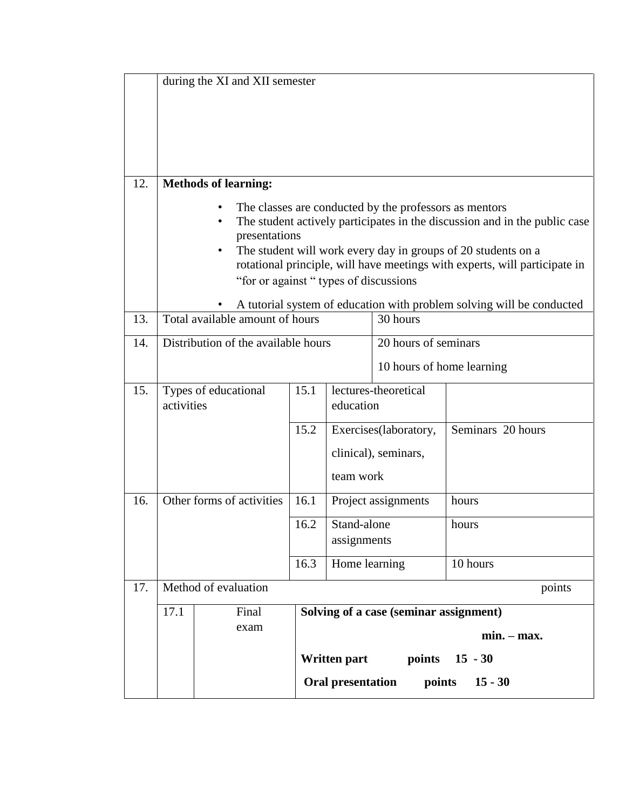|     |                                                                                                                                                                                                                                                                                                                                                                                                                         | during the XI and XII semester      |      |                                                            |          |                           |  |  |  |  |
|-----|-------------------------------------------------------------------------------------------------------------------------------------------------------------------------------------------------------------------------------------------------------------------------------------------------------------------------------------------------------------------------------------------------------------------------|-------------------------------------|------|------------------------------------------------------------|----------|---------------------------|--|--|--|--|
| 12. |                                                                                                                                                                                                                                                                                                                                                                                                                         | <b>Methods of learning:</b>         |      |                                                            |          |                           |  |  |  |  |
|     | The classes are conducted by the professors as mentors<br>The student actively participates in the discussion and in the public case<br>presentations<br>The student will work every day in groups of 20 students on a<br>rotational principle, will have meetings with experts, will participate in<br>"for or against "types of discussions"<br>A tutorial system of education with problem solving will be conducted |                                     |      |                                                            |          |                           |  |  |  |  |
| 13. |                                                                                                                                                                                                                                                                                                                                                                                                                         | Total available amount of hours     |      |                                                            | 30 hours |                           |  |  |  |  |
| 14. |                                                                                                                                                                                                                                                                                                                                                                                                                         | Distribution of the available hours |      |                                                            |          | 20 hours of seminars      |  |  |  |  |
|     |                                                                                                                                                                                                                                                                                                                                                                                                                         |                                     |      |                                                            |          | 10 hours of home learning |  |  |  |  |
| 15. | activities                                                                                                                                                                                                                                                                                                                                                                                                              | Types of educational                | 15.1 | lectures-theoretical<br>education                          |          |                           |  |  |  |  |
|     |                                                                                                                                                                                                                                                                                                                                                                                                                         |                                     | 15.2 | Exercises(laboratory,<br>clinical), seminars,<br>team work |          | Seminars 20 hours         |  |  |  |  |
| 16. |                                                                                                                                                                                                                                                                                                                                                                                                                         | Other forms of activities           | 16.1 | Project assignments                                        |          | hours                     |  |  |  |  |
|     |                                                                                                                                                                                                                                                                                                                                                                                                                         |                                     | 16.2 | Stand-alone<br>assignments                                 |          | hours                     |  |  |  |  |
|     |                                                                                                                                                                                                                                                                                                                                                                                                                         |                                     | 16.3 | Home learning                                              |          | 10 hours                  |  |  |  |  |
| 17. | Method of evaluation<br>points                                                                                                                                                                                                                                                                                                                                                                                          |                                     |      |                                                            |          |                           |  |  |  |  |
|     | 17.1<br>Solving of a case (seminar assignment)<br>Final<br>exam<br>$min. - max.$<br>Written part<br>points 15 - 30<br>Oral presentation<br>points<br>$15 - 30$                                                                                                                                                                                                                                                          |                                     |      |                                                            |          |                           |  |  |  |  |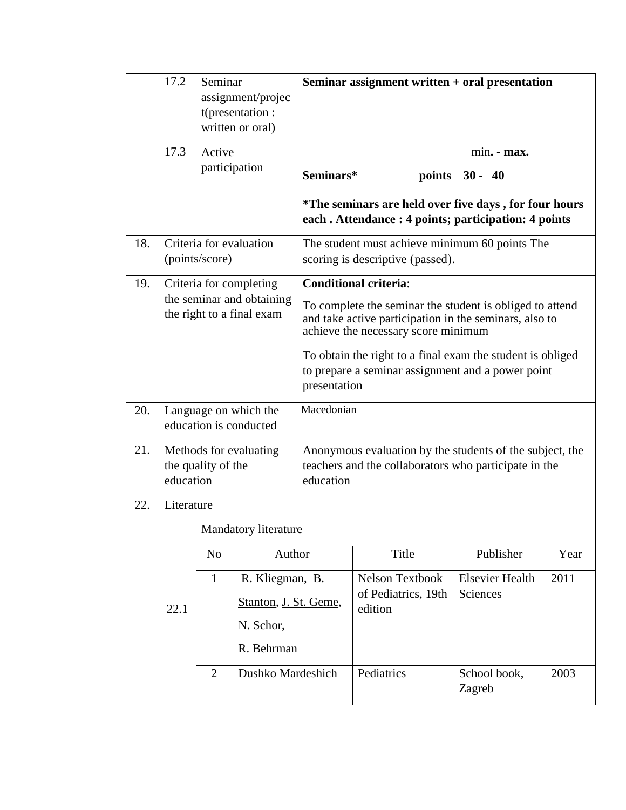|     | 17.2                                                                              | Seminar                 | assignment/projec<br>t(presentation:<br>written or oral) | Seminar assignment written + oral presentation                                                                                                            |                                |                                                                                                              |      |  |  |
|-----|-----------------------------------------------------------------------------------|-------------------------|----------------------------------------------------------|-----------------------------------------------------------------------------------------------------------------------------------------------------------|--------------------------------|--------------------------------------------------------------------------------------------------------------|------|--|--|
|     | 17.3                                                                              | Active<br>participation |                                                          | min. - max.                                                                                                                                               |                                |                                                                                                              |      |  |  |
|     |                                                                                   |                         |                                                          |                                                                                                                                                           | Seminars*<br>points 30 - 40    |                                                                                                              |      |  |  |
|     |                                                                                   |                         |                                                          |                                                                                                                                                           |                                | *The seminars are held over five days, for four hours<br>each. Attendance: 4 points; participation: 4 points |      |  |  |
| 18. | Criteria for evaluation<br>(points/score)                                         |                         |                                                          | The student must achieve minimum 60 points The<br>scoring is descriptive (passed).                                                                        |                                |                                                                                                              |      |  |  |
| 19. | Criteria for completing<br>the seminar and obtaining<br>the right to a final exam |                         |                                                          |                                                                                                                                                           | <b>Conditional criteria:</b>   |                                                                                                              |      |  |  |
|     |                                                                                   |                         |                                                          | To complete the seminar the student is obliged to attend<br>and take active participation in the seminars, also to<br>achieve the necessary score minimum |                                |                                                                                                              |      |  |  |
|     |                                                                                   |                         |                                                          | To obtain the right to a final exam the student is obliged<br>to prepare a seminar assignment and a power point<br>presentation                           |                                |                                                                                                              |      |  |  |
| 20. | Language on which the<br>education is conducted                                   |                         |                                                          | Macedonian                                                                                                                                                |                                |                                                                                                              |      |  |  |
| 21. | Methods for evaluating<br>the quality of the<br>education                         |                         |                                                          | Anonymous evaluation by the students of the subject, the<br>teachers and the collaborators who participate in the<br>education                            |                                |                                                                                                              |      |  |  |
| 22. | Literature                                                                        |                         |                                                          |                                                                                                                                                           |                                |                                                                                                              |      |  |  |
|     |                                                                                   |                         | Mandatory literature                                     |                                                                                                                                                           |                                |                                                                                                              |      |  |  |
|     | 22.1                                                                              | N <sub>0</sub>          | Author                                                   |                                                                                                                                                           | Title                          | Publisher                                                                                                    | Year |  |  |
|     |                                                                                   | $\mathbf{1}$            | R. Kliegman, B.                                          |                                                                                                                                                           | Nelson Textbook                | <b>Elsevier Health</b>                                                                                       | 2011 |  |  |
|     |                                                                                   |                         | Stanton, J. St. Geme,                                    |                                                                                                                                                           | of Pediatrics, 19th<br>edition | Sciences                                                                                                     |      |  |  |
|     |                                                                                   |                         | N. Schor,                                                |                                                                                                                                                           |                                |                                                                                                              |      |  |  |
|     |                                                                                   |                         | R. Behrman                                               |                                                                                                                                                           |                                |                                                                                                              |      |  |  |
|     |                                                                                   | $\overline{2}$          | Dushko Mardeshich                                        |                                                                                                                                                           | Pediatrics                     | School book,<br>Zagreb                                                                                       | 2003 |  |  |